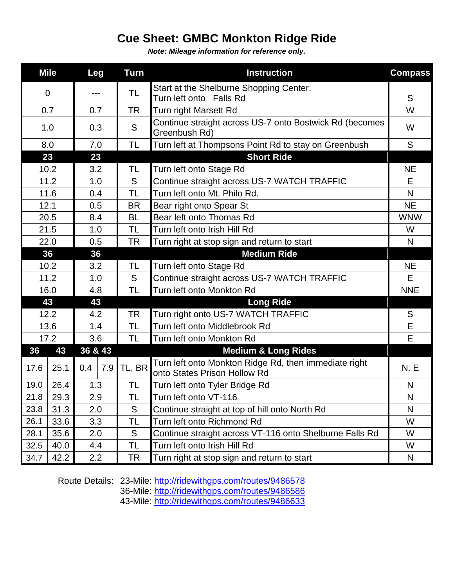## **Cue Sheet: GMBC Monkton Ridge Ride**

*Note: Mileage information for reference only.*

|             | <b>Mile</b> | <b>Leg</b>       |     | <b>Turn</b> | <b>Instruction</b>                                                                    | <b>Compass</b> |
|-------------|-------------|------------------|-----|-------------|---------------------------------------------------------------------------------------|----------------|
| $\mathbf 0$ |             |                  |     | TL          | Start at the Shelburne Shopping Center.                                               |                |
|             | 0.7         |                  | 0.7 | <b>TR</b>   | Turn left onto Falls Rd<br>Turn right Marsett Rd                                      | S<br>W         |
|             |             |                  |     |             | Continue straight across US-7 onto Bostwick Rd (becomes                               |                |
|             | 1.0         |                  | 0.3 | S           | Greenbush Rd)                                                                         | W              |
|             | 8.0         |                  | 7.0 | TL          | Turn left at Thompsons Point Rd to stay on Greenbush                                  | S              |
| 23          |             | 23               |     |             | <b>Short Ride</b>                                                                     |                |
|             | 10.2        |                  | 3.2 | TL          | Turn left onto Stage Rd                                                               | <b>NE</b>      |
|             | 11.2        |                  | 1.0 | S           | Continue straight across US-7 WATCH TRAFFIC                                           | E              |
|             | 11.6        |                  | 0.4 | TL          | Turn left onto Mt. Philo Rd.                                                          | N              |
| 12.1        |             | 0.5              |     | <b>BR</b>   | Bear right onto Spear St                                                              | <b>NE</b>      |
| 20.5        |             | 8.4              |     | BL          | Bear left onto Thomas Rd                                                              | <b>WNW</b>     |
| 21.5        |             | 1.0              |     | TL          | Turn left onto Irish Hill Rd                                                          | W              |
| 22.0        |             | 0.5              |     | <b>TR</b>   | Turn right at stop sign and return to start                                           | N              |
| 36          |             | 36               |     |             | <b>Medium Ride</b>                                                                    |                |
| 10.2        |             | 3.2              |     | TL          | Turn left onto Stage Rd                                                               | <b>NE</b>      |
| 11.2        |             | 1.0              |     | S           | Continue straight across US-7 WATCH TRAFFIC                                           | E              |
| 16.0        |             | 4.8              |     | <b>TL</b>   | Turn left onto Monkton Rd                                                             | <b>NNE</b>     |
| 43          |             | 43               |     |             | <b>Long Ride</b>                                                                      |                |
| 12.2        |             | 4.2              |     | <b>TR</b>   | Turn right onto US-7 WATCH TRAFFIC                                                    | S              |
| 13.6        |             | 1.4              |     | TL          | Turn left onto Middlebrook Rd                                                         | Е              |
| 17.2        |             | 3.6              |     | TL          | Turn left onto Monkton Rd                                                             | E              |
| 36          | 43          | 36 & 43          |     |             | <b>Medium &amp; Long Rides</b>                                                        |                |
| 17.6        | 25.1        | 0.4              | 7.9 | TL, BR      | Turn left onto Monkton Ridge Rd, then immediate right<br>onto States Prison Hollow Rd | <b>N.E</b>     |
| 19.0        | 26.4        | 1.3              |     | TL          | Turn left onto Tyler Bridge Rd                                                        | N              |
| 21.8        | 29.3        | 2.9              |     | <b>TL</b>   | Turn left onto VT-116                                                                 | N              |
| 23.8        | 31.3        | 2.0              |     | S           | Continue straight at top of hill onto North Rd                                        | N              |
| 26.1        | 33.6        | 3.3              |     | TL          | Turn left onto Richmond Rd                                                            | W              |
| 28.1        | 35.6        | 2.0              |     | S           | Continue straight across VT-116 onto Shelburne Falls Rd                               | W              |
| 32.5        | 40.0        | 4.4              |     | TL          | Turn left onto Irish Hill Rd                                                          | W              |
| 34.7        | 42.2        | $2.2\phantom{0}$ |     | TR          | Turn right at stop sign and return to start                                           | N              |

Route Details: 23-Mile:<http://ridewithgps.com/routes/9486578>

36-Mile:<http://ridewithgps.com/routes/9486586>

43-Mile:<http://ridewithgps.com/routes/9486633>